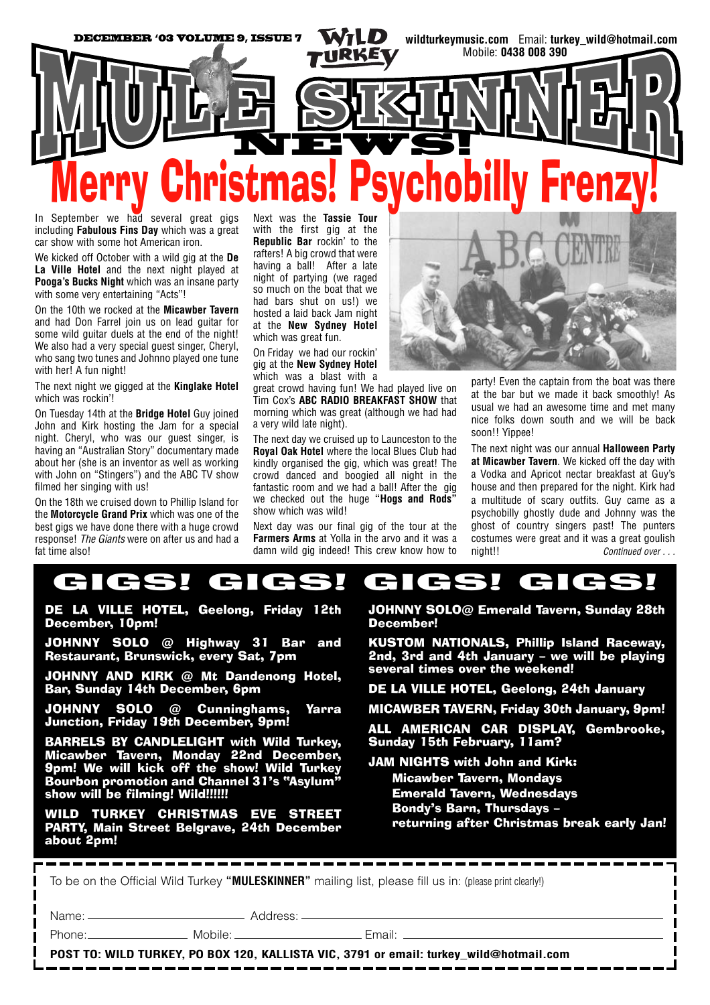

In September we had several great gigs including **Fabulous Fins Day** which was a great car show with some hot American iron.

We kicked off October with a wild gig at the **De La Ville Hotel** and the next night played at **Pooga's Bucks Night** which was an insane party with some very entertaining "Acts"!

On the 10th we rocked at the **Micawber Tavern** and had Don Farrel join us on lead guitar for some wild guitar duels at the end of the night! We also had a very special guest singer, Cheryl, who sang two tunes and Johnno played one tune with her! A fun night!

The next night we gigged at the **Kinglake Hotel** which was rockin'!

On Tuesday 14th at the **Bridge Hotel** Guy joined John and Kirk hosting the Jam for a special night. Cheryl, who was our guest singer, is having an "Australian Story" documentary made about her (she is an inventor as well as working with John on "Stingers") and the ABC TV show filmed her singing with us!

On the 18th we cruised down to Phillip Island for the **Motorcycle Grand Prix** which was one of the best gigs we have done there with a huge crowd response! *The Giants* were on after us and had a fat time also!

Next was the **Tassie Tour** with the first gig at the **Republic Bar** rockin' to the rafters! A big crowd that were having a ball! After a late night of partying (we raged so much on the boat that we had bars shut on us!) we hosted a laid back Jam night at the **New Sydney Hotel** which was great fun.

On Friday we had our rockin' gig at the **New Sydney Hotel** which was a blast with a

great crowd having fun! We had played live on Tim Cox's **ABC RADIO BREAKFAST SHOW** that morning which was great (although we had had a very wild late night).

The next day we cruised up to Launceston to the **Royal Oak Hotel** where the local Blues Club had kindly organised the gig, which was great! The crowd danced and boogied all night in the fantastic room and we had a ball! After the gig we checked out the huge **"Hogs and Rods"** show which was wild!

Next day was our final gig of the tour at the **Farmers Arms** at Yolla in the arvo and it was a damn wild gig indeed! This crew know how to



party! Even the captain from the boat was there at the bar but we made it back smoothly! As usual we had an awesome time and met many nice folks down south and we will be back soon!! Yippee!

The next night was our annual **Halloween Party at Micawber Tavern**. We kicked off the day with a Vodka and Apricot nectar breakfast at Guy's house and then prepared for the night. Kirk had a multitude of scary outfits. Guy came as a psychobilly ghostly dude and Johnny was the ghost of country singers past! The punters costumes were great and it was a great goulish night!! *Continued over . . .*

## GIGS! GIGS! GIGS! GIGS! GIGS! GIGS! GIGS! GIGS!

DE LA VILLE HOTEL, Geelong, Friday 12th December, 10pm!

JOHNNY SOLO @ Highway 31 Bar and Restaurant, Brunswick, every Sat, 7pm

JOHNNY AND KIRK @ Mt Dandenong Hotel, Bar, Sunday 14th December, 6pm

JOHNNY SOLO @ Cunninghams, Yarra Junction, Friday 19th December, 9pm!

BARRELS BY CANDLELIGHT with Wild Turkey, Micawber Tavern, Monday 22nd December, 9pm! We will kick off the show! Wild Turkey Bourbon promotion and Channel 31's "Asylum" show will be filming! Wild!!!!!!

WILD TURKEY CHRISTMAS EVE STREET PARTY, Main Street Belgrave, 24th December about 2pm!

JOHNNY SOLO@ Emerald Tavern, Sunday 28th December!

KUSTOM NATIONALS, Phillip Island Raceway, 2nd, 3rd and 4th January – we will be playing several times over the weekend!

DE LA VILLE HOTEL, Geelong, 24th January

MICAWBER TAVERN, Friday 30th January, 9pm!

ALL AMERICAN CAR DISPLAY, Gembrooke, Sunday 15th February, 11am?

JAM NIGHTS with John and Kirk: Micawber Tavern, Mondays Emerald Tavern, Wednesdays Bondy's Barn, Thursdays –

returning after Christmas break early Jan!

| To be on the Official Wild Turkey "MULESKINNER" mailing list, please fill us in: (please print clearly!) |  |                                                                                                                |
|----------------------------------------------------------------------------------------------------------|--|----------------------------------------------------------------------------------------------------------------|
|                                                                                                          |  |                                                                                                                |
|                                                                                                          |  | Phone: Mobile: Mobile: Fmail: 2004 - 2006 - 2007 - 2008 - 2009 - 2009 - 2009 - 2009 - 2009 - 2009 - 2009 - 200 |
| POST TO: WILD TURKEY, PO BOX 120, KALLISTA VIC, 3791 or email: turkey_wild@hotmail.com                   |  |                                                                                                                |
|                                                                                                          |  |                                                                                                                |